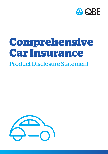

# **Comprehensive Car Insurance**

# Product Disclosure Statement

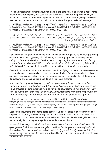This is an important document about insurance. It explains what is and what is not covered under the insurance policy and your and our obligations. To check the policy meets your needs, you need to understand it. If you cannot read and understand English please seek assistance from someone who can help you understand it in your preferred language.

此乃关於保险的重要文件,它解释了根据保单条款什麽是受保、什麽是不受保项目, 以及你方 和我方的责任条款。你必须要了解後才能决定这项保险是否能满足你的需要。如果你不能阅读 和理解英文,请向能帮助你用你熟悉的语言理解内容的人求助。

هذه وثيقة هامة عن التأمين، تشرح ما تغطيه بوليصة التأمين وما ال تغطيه باإلضافة إلى التزاماتنا والتزاماتك. يجب عليك فهم محتوى البوليصة حتى تتأكد من أنها تفي باحتياجاتك. إذا لم تكن تجيد قراءة اإلنجليزية وفهمها، أطلب المساعدة من شخص يستطيع أن يعينك على فهم هذه الوثيقة باللغة التي تفضلها.

此乃關於保險的重要文件,它解釋了根據保單條款什麼是受保、什麼是不受保項目,以及你方 和我方的責任條款。你必須要了解後才能決定這項保險是否能滿足你的需要。如果你不能閱讀 和理解英文,請向能幫助你用你熟悉的語言理解內容的人求助。

Đây là một tài liệu quan trọng về bảo hiểm. Nó giải thích những gì được và những gì không được bảo hiểm theo hợp đồng bảo hiểm cũng như những nghĩa vụ của quý vị và của chúng tôi. Để kiểm tra liệu hợp đồng bảo hiểm có đáp ứng được những nhu cầu của quý vị hay không, quý vị cần phải hiểu nó. Nếu quý vị không thể đọc và hiểu tiếng Anh, vui lòng nhờ ai đó có thể giúp giải thích hợp đồng cho quý vị bằng ngôn ngữ quý vị ưa dùng.

Questo è un documento importante sull'assicurazione. Spiega cosa è e cosa non è coperto in base alla polizza assicurativa ed i tuoi ed i nostri obblighi. Per verificare che la polizza soddisfi le tue esigenze, devi capirla. Se non puoi leggere e capire l'inglese, fatti assistere da qualcuno che possa aiutarti a capirla nella tua lingua preferita.

Αυτό είναι ένα σημαντικό έγγραφο σχετικά με την ασφάλιση. Εξηγεί τι είναι και τι δεν καλύπτεται από το ασφαλιστήριο συμβόλαιο και τις δικές σας και τις δικές μας υποχρεώσεις. Για να ελέγξετε αν αυτό ανταποκρίνεται στις ανάγκες σας, πρέπει να το κατανοήσετε. Εάν δεν διαβάζετε ή δεν κατανοείτε την αγγλική γλώσσα, παρακαλείστε να ζητήστε βοήθεια από κάποιον που μπορεί να σας βοηθήσει να το κατανοήσετε στη γλώσσα που προτιμάτε.

यह बीमा के बारे में एक महत्वपूर्ण दस्तावेज़ है। इसमें यह विवरण दिया गया है कि बीमा पॉलिसी में क्या कवर्ड (बीमे द्वारा सरक्षित) है और क्या कवर्ड (बीमे द्वारा कवर्ड) नहीं है तथा इसमें आपके और हमारे दायित्वों के बारे में भी बताया गया है। यह जांच करने के लिए कि क्या पोलिसी आपकी आवश्यकताओं को परा करती है, आपको इसे समझने की आवश्यकता है। यदि आप अंग्रेजी पढ़ और समझ नहीं सकते/सकती हैं तो कपया किसी ऐसे व्यक्ति से सहायता लें जो आपको इसे आपकी पसंदीदा भाषा में समझने में मदद कर सकता हो।

Este es un documento importante sobre seguros. En él se explica lo que cubre y no cubre su póliza de seguro y tanto sus obligaciones como las nuestras. Deberá entenderlo para determinar si la póliza se adapta a sus necesidades. Si no lee ni entiende inglés, solicite la ayuda de alguien que le pueda ayudar a entenderlo en su idioma.

ਇਹ ਬੀਮੇ ਬਾਰੇ ਇੱਕ ਮਹਤਵਪੂਰਨ ਦਸਤਾਵੇਜ਼ ਹੈ। ਇਸ ਵਿੱਚ ਇਹ ਵੇਰਵਾ ਦਿਤਾ ਗਿਆ ਹੈ ਕਿ ਬੀਮਾ ਪਾਲਿਸੀ ਤਹਿਤ ਕੀ ਕਵਰਡ (ਬੀਮੇ ਦੁਆਰਾ ਸੁਰਵਿਅਤ) ਹੈ ਅਤੇ ਵਕ ਕਵਰਡ (ਬੀਮੇ ਦੁਆਰਾ ਸੁਰਵਿਅਤ) ਨਹੀਂ ਹੈ ਅਤੇ ਇਸ ਵਵੱਚ ਤੁਹਾਡੀਆਂ ਅਤੇ ਸਾਡੀਆਂ ਜੁੱਮੇਵਾਰੀਆਂ ਬਾਰੇ ਵੀ ਦਸਿਆ ਗਿਆ ਹੈ। ਇਹ ਜਾਂਚ ਕਰਨ ਲਈ ਕਿ ਕੀ ਪਾਲਿਸੀ ਤੁਹਾਡੀਆਂ ਲੋਤਾਂ ਨੰ ਪੂਰਾ ਕਰਦੀ ਹੈ. ਤੁਹਾਨੂੰ ਇਸਨੂੰ ਸਮਝਣ ਦੀ ਲੌਤ ਹੈ। ਜੇ ਤੁਸੀਂ ਅੰਗਰੇਜ਼ੀ ਪੜ੍ਹ ਤੇ ਸਮਝ ਨਹੀਂ ਸਕਦੇ ਹੋ ਤਾਂ ਕਿਰਪਾ ਕਰਕੇ ਕਿਸੇ ਅਜਿਹੇ ਵਿਅਕਤੀ ਤੋਂ ਮਦਦ ਲਵੋ ਜੋ ਤੁਹਾਡੀ ਪਸੰਦੀਦਾ ਭਾਸ਼ਾ ਵਿੱਚ ਤੁਹਾਨੂੰ ਇਸਨੂੰ ਸਮਝਣ ਵਵੱਚ ਮਦਦ ਦੇ ਸਕੇ।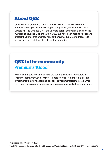# **About QBE**

QBE Insurance (Australia) Limited ABN 78 003 191 035 AFSL 239545 is a member of the QBE Insurance Group of companies. QBE Insurance Group Limited ABN 28 008 485 014 is the ultimate parent entity and is listed on the Australian Securities Exchange (ASX: QBE). *We* have been helping Australians protect the things that are important to them since 1886. *Our* purpose is to give people the confidence to achieve their ambitions.

# **QBE in the community** Premiums4Good<sup>™</sup>

*We* are committed to giving back to the communities that *we* operate in. Through Premiums4Good, *we* invest a portion of customer premiums into investments that have additional social or environmental features. So, when *you* choose *us* as *your* insurer, *your* premium automatically does some good.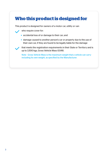# **Who this product is designed for**

This product is designed for owners of a motor car, utility or van

who require cover for:

- **•** accidental loss of or damage to their car; and
- **•** damage caused to another person's car or property due to the use of their own car, if they are found to be legally liable for the damage

 that meets the registration requirements in their State or Territory and is up to 3,500 kgs, Gross Vehicle Mass (GVM).

Note - Gross Vehicle Mass is the maximum weight that a vehicle can carry including its own weight, as specified by the Manufacturer.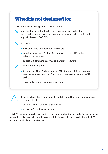# **Who it is not designed for**

This product is not designed to provide cover for:



 any cars that are not a standard passenger car, such as tractors, motorcycles, buses, goods carrying trucks, caravans, wheelchairs and any vehicle over 3,500 GVM



uses like:

- **•** delivering food or other goods for reward
- **•** carrying passengers for hire, fare or reward except if used for ridesharing purposes
- **•** as part of a car sharing service or platform for reward



- **•** Compulsory Third Party Insurance (CTP), for bodily injury cover as a result of a car accident only. This cover is only available under a CTP policy
- **•** Third Party Property damage cover only.



If *you* purchase this product and it is not designed for *your* circumstances, *you* may not get:

- **•** the value from it that *you* expected; or
- **•** any value from the product at all.

This PDS does not consider *your* objectives, financial situation or needs. Before deciding to buy this policy and whether the cover is right for *you*, please consider both the PDS and *your* particular circumstances.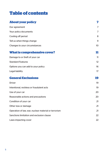# **Table of contents**

| <b>About your policy</b>                             | 7               |
|------------------------------------------------------|-----------------|
| Our agreement                                        | 7               |
| Your policy documents                                | 7               |
| Cooling off period                                   | 8               |
| Tell us when things change                           | 9               |
| Changes to your circumstances                        | 10 <sup>°</sup> |
| <b>What is comprehensive cover?</b>                  | 11              |
| Damage to or theft of your car                       | 11              |
| <b>Standard Features</b>                             | 12              |
| Options you can add to your policy                   | 16              |
| Legal liability                                      | 17              |
| <b>General Exclusions</b>                            | 19              |
| <b>Driver</b>                                        | 19              |
| Intentional, reckless or fraudulent acts             | 19              |
| Use of your car                                      | 20              |
| Reasonable actions and precautions                   | 20              |
| Condition of your car                                | 21              |
| Other loss or damage                                 | 21              |
| Operation of law, war, nuclear material or terrorism | 21              |
| Sanctions limitation and exclusion clause            | 22              |
| Laws impacting cover                                 | 22              |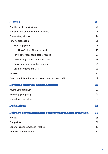| <b>Claims</b>                                              | 23 |
|------------------------------------------------------------|----|
| What to do after an incident                               | 23 |
| What you must not do after an incident                     | 24 |
| Cooperating with us                                        | 24 |
| How we settle claims                                       | 25 |
| Repairing your car                                         | 25 |
| How Choice of Repairer works                               | 25 |
| Paying the reasonable cost of repairs                      | 27 |
| Determining if your car is a total loss                    | 28 |
| Replacing your car with a new one                          | 29 |
| Claim payments and GST                                     | 29 |
| <b>Excesses</b>                                            | 30 |
| Claims administration, going to court and recovery action  | 32 |
| <b>Paying, renewing and cancelling</b>                     | 33 |
| Paying your premium                                        | 33 |
| Renewing your policy                                       | 34 |
| Cancelling your policy                                     | 34 |
| <b>Definitions</b>                                         | 35 |
| <b>Privacy, complaints and other important information</b> | 38 |
| Privacy                                                    | 38 |
| Complaints                                                 | 38 |
| <b>General Insurance Code of Practice</b>                  | 40 |
| <b>Financial Claims Scheme</b>                             | 40 |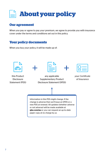<span id="page-7-0"></span>

#### **Our agreement**

When *you* pay or agree to pay *your* premium, *we* agree to provide *you* with insurance cover under the terms and conditions set out in this policy.

# **Your policy documents**

When *you* buy *your* policy, it will be made up of:









this Product **Disclosure** Statement (PDS)

any applicable Supplementary Product Disclosure Statement (SPDS)

*your Certificate of Insurance*

Information in this PDS might change. If the change is adverse then *we'll* issue an SPDS or a new PDS at renewal. All updates (whether adverse or not adverse) will be made available at **[qbe.com/au](http://qbe.com/au)** or *you* can request an up-to-date paper copy at no charge by *us*.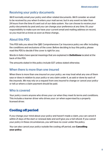#### <span id="page-8-0"></span>Receiving your policy documents

*We'll* normally email *your policy* and other related documents. *We'll* consider an email to be received by *you* when it enters *your* mail server, but in any event no later than 24 hours from the time it's sent out of *our* data system. *You* can choose to receive *your policy* documents by post and *you* can change *your* preference at any time. It's *your* responsibility to make sure *we* have *your* current email and mailing address on record, so *you* must let *us* know as soon as these change..

## About this PDS

This PDS tells *you* about the QBE Comprehensive Car Insurance policy *we* offer including the conditions and exclusions of the cover. Before deciding to buy this policy, please read this PDS to decide if the cover is right for *you*.

Words in italics have special meanings that are explained in **Definitions** located at the back of this PDS.

The amounts stated in this policy include GST unless stated otherwise.

#### When there is more than one insured

When there is more than one *insured* on *your policy*, *we* may treat what any one of them says or does in relation to *your policy* or any claim under it, as said or done by each of the *insureds*. *We* may rely on a request from one *insured* to change or cancel *your policy* or tell *us* where a claim payment should be paid.

#### Who is covered

*Your policy* covers anyone who drives *your car* when they meet its terms and conditions. This includes a learner driver who drives *your car* when supervised by a properly licensed driver.

# **Cooling off period**

If *you* change *your* mind about *your policy* and haven't made a claim, *you* can cancel it within 21 days of the start or renewal date and *we'll* give *you* a full refund. If *you* cancel *your policy* in these circumstances, *you* will have no cover under the policy.

*You* can also cancel *your policy* outside the cooling off period, see **Cancelling your policy**.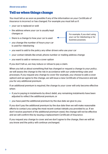#### <span id="page-9-0"></span>About your policy

#### **Tell us when things change**

*You* must tell *us* as soon as possible if any of the information on *your Certificate of Insurance* is incorrect or has changed. For example *you* must tell *us* if:

- **•** *your* car is replaced or sold
- **•** the address where *your* car is usually kept changes or
- **•** there is a change to how *your car* is used
- **•** *you* change the number of hours *your car* is used for ridesharing

For example, if *you* start using *your car* for ridesharing or for business purposes.

- **•** *you* want to add to the policy any other drivers who use *your car*
- **•** *your* contact details like email, phone number or mailing address change
- **•** *you* want to add or remove a cover option

If *you* don't tell *us*, *we* may reduce or refuse to pay a claim.

When *you* tell *us* about something that has changed or request a change to *your policy*, *we* will assess the change to the risk in accordance with *our* underwriting rules and processes. If *you* request any change to cover (for example, *you* choose to add a cover option) and *we* agree to the change, *we* will issue a new *Certificate of Insurance* and ask *you* for any additional premium.

If an additional premium is required, the change to *your* cover will only become effective when:

- **•** if *you're* paying in instalments by direct debit, any remaining instalments have been adjusted to reflect the additional premium; or
- **•** *you* have paid the additional premium by the due date *we* give to *you*.

If *you* don't pay the additional premium by the due date then *we* will make reasonable efforts to contact *you* using the most recent contact details *you* provided to *us*. If *we* don't receive payment of the additional premium owed, the change will not be effective and *we* will confirm this by issuing a replacement *Certificate of Insurance*.

If *you* request any change to cover and *we* don't agree to the change, then *we* will let you know and the policy will continue unchanged.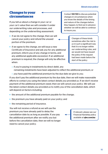10

#### About your policy

## <span id="page-10-0"></span>**Changes to your circumstances**

If *you* tell *us* about a change in *your car* or *your car's* value then *we* will consider it under *our* underwriting rules and processes, and depending on the underwriting assessment:

- **•** if *we* do not agree to the change, then *we* will cancel *your policy* and refund the unused portion of the premium.
- **•** if *we* agree to the change, *we* will issue a new *Certificate of Insurance* and ask *you* for any additional premium, inform *you* of any change in terms, and any additional applicable excess(es). If an additional premium is required, the change will only be effective when:

Contact **133 723** to discuss potential changes in circumstances when *you* know the details of the timing and nature of the changes before they happen, to find out in advance whether *we* will be able to continue to insure *you*.

> Changes of these kinds sometimes alter the risk to *us* in such a significant way that it is no longer within *our* underwriting rules, and *we* would not have issued the policy if the request had been made before the start of the policy

- **o** if *you're* paying in instalments by direct debit, any remaining instalments have been adjusted to reflect the additional premium; or
- *you* have paid the additional premium by the due date *we* give to *you*.

If you don't pay the additional premium by the due date, then *we* will make reasonable efforts to contact *you* using the latest contact details *you* provided *us*. If *we* don't receive payment of the additional premium owed, then *we* will cancel *your policy*. *We* will use the latest contact details *you* provided *us* to notify *you* of the cancellation date, which will depend on factors including:

- **•** the amount of the additional premium payable for the change;
- **•** the premium *you* have already paid on *your policy*; and
- **•** the remaining period of insurance.

*You* will not receive a refund as *we* will use the premium *you* have already paid to delay the cancellation date by as long as possible. If *you* pay the additional premium after *we* notify *you* but before the cancellation date, then *we* will no longer need to cancel *your policy*.

If relevant, please see *our* Financial Hardship policy available at **[qbe.com/au](https://www.qbe.com/au/about/governance/financial-hardship)**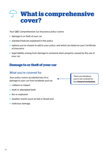# <span id="page-11-0"></span>**What is comprehensive cover?**

*Your* QBE Comprehensive Car Insurance *policy* covers:

- **•** damage to or theft of *your car*
- **•** standard features explained in this policy
- **•** options *you've* chosen to add to *your policy*, and which are listed on *your Certificate of Insurance*
- **•** legal liability arising from damage to someone else's property caused by the use of *your car*.

## **Damage to or theft of your car**

#### What you're covered for

*Your policy* covers accidental loss of or damage to *your car* from incidents such as:

- **•** collision or impact
- **•** theft or attempted theft
- **•** fire or explosion
- **•** weather events (such as hail or flood) and
- **•** malicious damage.

There are situations *you're* not covered for. See **General exclusions**.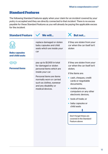## <span id="page-12-0"></span>**Standard Features**

The following Standard Features apply when *your* claim for an *incident* covered by *your policy* is accepted and they are directly connected to that *incident*. There is no excess payable for these Standard Features as *you* will already be paying the applicable excess for the *incident*.

| <b>Standard Feature</b>                 | We will                                                                                                                                                                                                                              | $X$ But not                                                                                                                                                                                                                                                                                                                                                           |
|-----------------------------------------|--------------------------------------------------------------------------------------------------------------------------------------------------------------------------------------------------------------------------------------|-----------------------------------------------------------------------------------------------------------------------------------------------------------------------------------------------------------------------------------------------------------------------------------------------------------------------------------------------------------------------|
| <b>Baby capsules</b><br>and child seats | replace damaged or stolen<br>baby capsules and child<br>seats which are inside your<br>car                                                                                                                                           | if they are stolen from your<br>car when the car itself isn't<br>stolen                                                                                                                                                                                                                                                                                               |
| 4.<br>n<br><b>Personal items</b>        | pay up to \$1,000 in total<br>for damaged or stolen<br>personal items which are<br>inside your car.<br>Personal items are items<br>normally worn or carried<br>such as clothes, eyewear<br>and any disability or<br>medical devices. | if they are stolen from your<br>car when the car itself isn't<br>stolen:<br>if the items are:<br>• cash, cheques, credit<br>cards or negotiable<br>documents;<br>• mobile phones,<br>computers or any other<br>electronic devices:<br>• tools of trade; or<br>• baby capsules or<br>child seats<br>Don't forget these are<br>covered in the Standard<br>Feature above |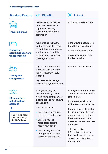| <b>Standard Feature</b>                                                                                                                          | We will                                                                                                                                                                                                                                                                                                                                                                                       | $\times$ But not                                                                                                                                                                                                                                                                                                                                                                                                                                   |
|--------------------------------------------------------------------------------------------------------------------------------------------------|-----------------------------------------------------------------------------------------------------------------------------------------------------------------------------------------------------------------------------------------------------------------------------------------------------------------------------------------------------------------------------------------------|----------------------------------------------------------------------------------------------------------------------------------------------------------------------------------------------------------------------------------------------------------------------------------------------------------------------------------------------------------------------------------------------------------------------------------------------------|
| <b>Travel expenses</b>                                                                                                                           | reimburse up to \$100 in<br>total to help the driver<br>of your car and any<br>passengers get to their<br>destination                                                                                                                                                                                                                                                                         | if your car is safe to drive                                                                                                                                                                                                                                                                                                                                                                                                                       |
| <b>Emergency</b><br>accommodation and<br>transport costs                                                                                         | reimburse up to \$1,000<br>for the reasonable cost of<br>essential accommodation<br>and transport to get the<br>driver of your car and any<br>passengers home                                                                                                                                                                                                                                 | if the <i>incident</i> occurs less<br>than 100km from home:<br>if your car is safe to drive;<br>any other costs such as<br>food or laundry                                                                                                                                                                                                                                                                                                         |
| <b>Towing and</b><br>storage costs                                                                                                               | pay the reasonable cost<br>of towing your car to the<br>nearest repairer or safe<br>location.<br>pay reasonable storage<br>costs at the agreed location                                                                                                                                                                                                                                       | if your car is safe to drive                                                                                                                                                                                                                                                                                                                                                                                                                       |
| $\sum_{n=1}^{\infty}$<br>Hire car after a<br>not-at-fault car<br><b>accident</b><br>'not-at-fault' has a<br>special meaning.<br>See Definitions. | arrange and pay the<br>reasonable daily cost of a<br>suitable hire car if your car<br>is damaged in a not-at-fault<br>car accident.<br>It will be provided:<br>• until repairs authorised<br>by us are completed; or<br>$\bullet$ until we pay the<br>reasonable costs to<br>repair your car; or<br>• until we pay your claim<br>after your car has been<br>assessed as a <i>total loss</i> . | when <i>your car</i> is not at the<br>authorised repairer and it's<br>safe to drive:<br>if you arrange a hire car<br>without our authorisation;<br>for any other costs related<br>to the hire car such as fuel.<br>upgrade, road tolls, traffic<br>fines, accidents or other<br>losses, or insurance excess<br>reduction:<br>after we receive<br>information confirming<br>that the driver of your car<br>caused or contributed to<br>the accident |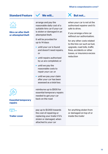# **Standard Feature**  $\checkmark$  We will...  $\checkmark$  But not...



#### **Hire car after theft or attempted theft**

arrange and pay the reasonable daily cost of a *suitable hire car* if *your car* is stolen or damaged in an attempted theft.

It will be provided for up to 14 days:

- **•** until *your car* is found and doesn't need repairs; or
- **•** until repairs authorised by *us* are completed; or
- **•** until *we* pay the reasonable costs to repair *your car*; or
- **•** until *we* pay *your* claim after *your car* has been assessed as a *total loss*.

reimburse up to \$500 for

when *your car* is not at the authorised repairer and it's safe to drive;

if *you* arrange a hire car without *our* authorisation;

for any other costs related to the hire car such as fuel, upgrade, road tolls, traffic fines, accidents or other losses, or insurance excess reduction

| <b>Essential temporary</b><br>repairs | $\frac{1}{2}$ . The contract the contract of $\frac{1}{2}$<br>essential temporary repairs<br>needed to get your car<br>back on the road |                                                     |
|---------------------------------------|-----------------------------------------------------------------------------------------------------------------------------------------|-----------------------------------------------------|
|                                       | pay up to \$1,000 towards<br>the cost of repairing or                                                                                   | for anything stolen from<br>or damaged on top of or |
| <b>Trailer cover</b>                  | replacing your trailer if it's<br>stolen or damaged, when<br>attached to your car                                                       | inside the trailer                                  |
|                                       |                                                                                                                                         |                                                     |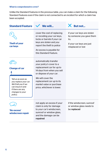#### What is comprehensive cover?

Unlike the Standard Features in the previous table, *you* can make a claim for the following Standard Features even if the claim is not connected to an *incident* for which a claim has been accepted.

| <b>Standard Feature</b>                                                                                                                                            | We will                                                                                                                                                                                                                                              | $X$ But not                                                                                                      |
|--------------------------------------------------------------------------------------------------------------------------------------------------------------------|------------------------------------------------------------------------------------------------------------------------------------------------------------------------------------------------------------------------------------------------------|------------------------------------------------------------------------------------------------------------------|
| <b>Theft of your</b><br>car keys                                                                                                                                   | cover the cost of replacing<br>or recoding your car keys,<br>locks or barrels if your car<br>keys are stolen and you<br>report the theft to police<br>An excess is payable for<br>this Standard Feature.                                             | if your car keys are stolen<br>by someone you gave them<br>to;<br>if your car keys are just<br>misplaced or lost |
| <b>Change of car</b><br>Tell us as soon as<br>you replace your car.<br>We'll tell you if we<br>can insure it and<br>if there are any<br>changes to your<br>policy. | automatically transfer<br>your policy's cover to a<br>replacement car for up to<br>14 days from when you sell<br>or dispose of your car.<br>We will cover the<br>replacement car up to its<br>market value or purchase<br>price, whichever is lower. |                                                                                                                  |
| 'No excess'<br>windscreen repair                                                                                                                                   | not apply an excess if your<br>claim is only for damage<br>to your car's windscreen,<br>sunroof or window glass,<br>and the damage can be<br>repaired                                                                                                | if the windscreen, sunroof<br>or window glass needs to<br>be replaced                                            |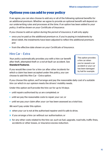## <span id="page-16-0"></span>**Options you can add to your policy**

If *we* agree, *you* can also choose to add any or all of the following optional benefits for an additional premium. Whether *we* agree to provide an optional benefit will depend on *our* underwriting rules and processes at the time. If an option has been added to *your policy*, it will be shown on *your Certificate of Insurance*.

If *you* choose to add an option during the *period of insurance*, it will only apply:

- **•** once *you've* paid *us* the additional premium or, if *you're* paying in instalments by direct debit, the instalments have been adjusted to reflect the additional premium; and
- **•** from the effective date shown on *your Certificate of Insurance*.

## Hire Car – Extra

*Your policy* automatically provides *you* with a hire car benefit after theft, attempted theft or a *not-at-fault* car accident. See **Standard Features**.

If *you* would like cover for a hire car after other *incidents* for which a claim has been accepted under this policy, *you* can choose to add this Hire Car – Extra option.

This option provides a hire car when *you've* caused a car accident or *your car* has been damaged by hail for example.

If *you* choose this option, *we'll* arrange and pay the reasonable daily cost of a *suitable hire car* which in *our* opinion meets the drivers' mobility needs.

Under this option *we'll* provide the hire car for up to 14 days:

- **•** until repairs authorised by *us* are completed; or
- **•** until *we* pay the reasonable costs to repair *your car*; or
- **•** until *we* pay *your* claim after *your car* has been assessed as a *total loss*.

*We* won't pay under this option:

- when *your car* is not at the authorised repairer and it's safe to drive;
- if *you* arrange a hire car without *our* authorisation; or
- $\times$  for any other costs related to the hire car, such as fuel, upgrade, road tolls, traffic fines, accidents or other losses, or insurance excess reduction.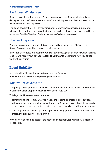#### <span id="page-17-0"></span>'No Excess' Windscreen

If *you* choose this option *you* won't need to pay an excess if *your* claim is only for damage to *your car's* windscreen, sunroof or window glass, and the item needs to be replaced rather than repaired.

The good news is that if all *you're* claiming for is *your car's* windscreen, sunroof or window glass, and *we* can repair it without having to replace it, *you* won't need to pay an excess. See the Standard Feature **'No excess' windscreen repair**.

## Choice of Repairer

When *we* repair *your car* under this policy *we* will normally use a QBE Accredited Smash Repairer or another licensed repairer *we* select.

If *you* add this Choice of Repairer option to *your policy*, *you* can choose which licensed repairer will repair *your car*. See **Repairing your car** to understand how this option works at claim time.

# **Legal liability**

In this legal liability section any reference to '*you*' means the *insured*, any driver or any passenger of *your car*.

# What you're covered for

This policy covers *your* legal liability to pay compensation which arises from damage to someone else's property, caused by the use of *your car*.

This legal liability cover also extends to:

- **•** something falling from *your car* as well as the loading or unloading of *your car*. In this section, *your car* includes an attached *trailer* as well as a substitute car *you're* using because *your car* is being repaired or serviced by a licensed tradesperson; and
- **•** *your* employer or business partner, if *you* were using *your car* in the course of *your* employment or business partnership.

*We'll* also cover clean-up costs at the scene of an accident, for which *you* are legally responsible.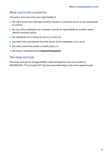#### What you're not covered for

This policy does not cover *your* legal liability if:

- the claim arises from damage caused to property owned by *you* or in *your* possession or control;
- $\times$  the use of the substitute car is already covered for legal liability by another motor vehicle insurance policy;
- the substitute car is owned by *you* or is a hire car;
- *X* you didn't have permission from the owner of the substitute car to use it:
- $\times$  the claim arises from death or bodily injury; or
- the claim is excluded by the **General Exclusions**.

#### The most we'll pay

The most *we'll* pay for all legal liability claims arising from any one *incident* is \$30,000,000. This includes GST and any associated legal costs *we've* agreed to pay.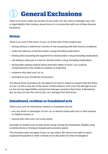# <span id="page-19-0"></span>**General Exclusions**

There is no cover under any section of *your policy* for any claim or damage, loss, cost or legal liability, that involves, arises from or is in connection with any of these General **Exclusions** 

# **Driver**

There is no cover if the driver of *your car* at the time of the *incident* was:

- **•** driving without a valid driver's licence or not complying with their licence conditions;
- **•** under the influence of alcohol and/or a drug (including medication);
- **•** driving when exceeding the legal limit for alcohol and/or a drug (including medication);
- not willing to take part in a test for alcohol and/or a drug (including medication);
- **•** driving after getting medical advice that their ability to drive a car could be compromised by their medical condition or treatment;
- **•** someone who stole *your car*; or
- **•** excluded on *your Certificate of Insurance*.

The above driver exclusions do not apply if *you* had no reason to suspect that the driver of *your car* did or was any of the above. In that instance, *we'll* cover the damage to *your car* but not any legal liability arising from damage caused by that driver. If allowed by law, *we* may recover the cost of *your car's* damage from that driver.

## **Intentional, reckless or fraudulent acts**

There is no cover for intentional, reckless or fraudulent acts by:

- **•** *you*, any driver or passenger of *your car*, or anyone acting with *your* or their express or implied consent; or
- **•** anyone who owns *your car* to any extent.

Examples of reckless acts include street racing, driving into floodwater, illegally using a mobile phone or driving at dangerously excessive speed.

This exclusion does not apply if *your car* was stolen. *We* reserve the right to report suspected fraudulent or other criminal acts to the police for their investigation.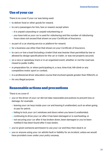## <span id="page-20-0"></span>**Use of your car**

There is no cover if *your car* was being used:

- **•** to deliver food or other goods for reward;
- **•** to carry passengers for hire, fare or reward, except when:
	- $\circ$  it is unpaid carpooling or unpaid volunteering; or
	- *you* have told *us your car* is used for *ridesharing* and the number of *ridesharing* hours does not exceed that shown on *your Certificate of Insurance*;
- **•** as part of a car sharing service or platform for reward;
- **•** for a business use other than that shown on *your Certificate of Insurance*;
- **•** to carry or tow a load (including a *trailer*) that was heavier than permitted by law or allowed by design specifications for the car or *trailer*, or was not properly secured;
- **•** on a race or speedway track or in an organised event, whether or not the road was closed to public traffic;
- **•** in preparation for, or when participating in, a race, time-trial, hill-climb or any competitive motor sport or contest;
- **•** in a professional driver education course that involved speeds greater than 110km/h; or
- **•** for any illegal purpose.

#### **Reasonable actions and precautions**

There is no cover if:

- **•** *you* or the driver of *your car* did not take reasonable precautions to prevent loss or damage, for example:
	- leaving *your* car keys inside *your car* and leaving it unattended, such as when going to pay for petrol;
	- failing to lock *your car's* windows and doors when *you* leave it unattended;
	- continuing to drive *your car* after it has been damaged or is overheating; or
	- not securing *your car* after it has broken down, been damaged or *you've* been notified it has been found after it was stolen;
- **•** *you've* given someone permission to use *your car* and they then steal it; or
- **•** *you* or anyone using *your car* admits fault or liability for an *incident,* unless *we* would have provided cover under *your policy* anyway.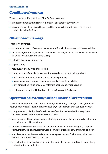#### <span id="page-21-0"></span>General Exclusions

#### **Condition of your car**

There is no cover if, at the time of the *incident*, *your car*:

- **•** did not meet registration requirements in *your* state or territory; or
- **•** was unroadworthy or in an illegal condition, unless its condition did not cause or contribute to the *incident*.

#### **Other loss or damage**

There is no cover for:

- **•** tyre damage unless it's caused in an *incident* for which *we've* agreed to pay a claim;
- **•** mechanical, structural, electronic or electrical failure, unless it's caused in an *incident* for which *we've* agreed to pay a claim;
- **•** deterioration or wear and tear;
- **•** depreciation;
- **•** mould, rust or any type of corrosion;
- **•** financial or non-financial consequential loss related to *your* claim, such as:
	- lost profits or income because *you* can't use *your car;*
	- loss due to delay in repairs because a part isn't readily available;
	- any diminished value of *your car* after it's been properly repaired; or
- **•** anything set out in the '**But not…**' column in **Standard Features**.

#### **Operation of law, war, nuclear material or terrorism**

There is no cover under any section of *your policy* for any claims, loss, cost, damage, injury, death or legal liability, that is caused by, or arises from or in connection with:

- **•** compulsory acquisition, lawful seizure, confiscation, nationalisation, requisition, repossession or other similar operation of law;
- **•** invasion, acts of foreign enemies, hostilities, war or war–like operations (whether war be declared or not), or civil war;
- **•** mutiny, civil commotion assuming the proportions of, or amounting to, a popular rising, military rising, insurrection, rebellion, revolution, military or usurped power;
- **•** a nuclear weapon, the use, existence or escape of nuclear fuel, waste, radiation or material, or nuclear fission or fusion;
- **•** any act of terrorism involving biological, chemical, nuclear or radioactive pollution, contamination or explosion..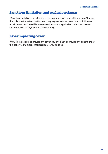## <span id="page-22-0"></span>**Sanctions limitation and exclusion clause**

*We* will not be liable to provide any cover, pay any claim or provide any benefit under this policy, to the extent that to do so may expose *us* to any sanction, prohibition or restriction under United Nations resolutions or any applicable trade or economic sanctions, laws or regulations of any country.

## **Laws impacting cover**

*We* will not be liable to provide any cover, pay any claim or provide any benefit under this policy, to the extent that it is illegal for *us* to do so.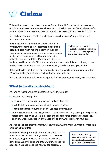<span id="page-23-0"></span>

This section explains *our* claims process. For additional information about excesses and for examples of how *we* pay claims under this policy, read *our* Comprehensive Car Insurance Additional Information Guide at **[qbe.com/au](http://qbe.com/au)** or call *us* on **133 723** for a copy.

In this claims section any reference to '*you*' means the *insured*, any driver or any passenger of *your car*.

*We* handle many car insurance claims every day. *We* know that some of *our* customers face difficult circumstances when making a claim on their car insurance policy. In some cases, *your* circumstances might prevent *you* from strictly complying with policy terms and conditions. For example, if *you* are

If relevant, please see *our* Financial Hardship and/or Family and Domestic Violence policies available at **[qbe.com/au](https://www.qbe.com/au/about/governance)**

badly injured in an *incident* that also results in a claim under this policy, then *you* may not be able to provide the assistance *we* normally need to process *your* claim.

If this applies to *you*, then *you* or *your* family should speak to *us* about *your* situation. *We* will consider *your* situation and see how *we* can help *you*.

*You* can ask *us* if your policy covers a particular loss before *you* actually make a claim.

## **What to do after an incident**

As soon as reasonably possible after an *incident* you must:

- **•** take reasonable steps to:
	- prevent further damage to *your car* and keep it secure;
	- o get the full name and address of each person involved:
	- o get the registration numbers of any vehicles involved; and
- **•** report the *incident* to police if *your car* is stolen or deliberately damaged and provide details of the report to *us*. *We* may need the police report number to process *your* claim or *our* recovery action if there is a third party who is liable for *your* loss..

As soon as *you* can after the *incident*, call *us* on **133 723** to make *your* claim, or lodge it online at **[qbe.com/au](http://qbe.com/au)**

If the situation requires urgent attention, please call *us*. *We're* available 24 hours, 7 days a week. If, as a result of an *incident*, *you* are in urgent financial need of the benefits *you're* entitled to under *your policy*, please call *us* as soon as possible to see how *we* can assist *you*.

If *you* have an existing claim and need access to an interpreter, please contact *your* Claims Officer directly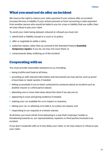#### <span id="page-24-0"></span>**What you must not do after an incident**

*We* reserve the right to reduce *your* claim payment if *your* actions after an *incident* increase the loss or liability. If *your* actions prevent *us* from recovering a claim payment from another person who would be liable to *you* for a loss or liability that *you* suffer, then *we* may refuse to pay *your* claim.

To avoid *your* claim being delayed, reduced or refused *you* must not:

- $\times$  admit fault or liability, except in a court or to police;
- $\times$  offer or negotiate to settle a claim;
- authorise repairs, other than as covered in the Standard Feature **Essential temporary repairs**. If *you* do, *we* may not cover them; or
- unnecessarily delay notifying *us* of the *incident*.

## **Cooperating with us**

*You* must provide reasonable assistance to *us*, including:

- **•** being truthful and frank at all times;
- **•** providing *us* with relevant information and documents *we* may ask for, such as proof of purchase or repair quotes, if needed;
- **•** telling *us* promptly if *you've* been contacted by someone about an *incident* such as another insurer or a third party's lawyer;
- **•** attending one or more interviews about the claim if *we* ask *you* to;
- **•** appearing in court and giving evidence if needed;
- **•** making *your car* available for *us* to inspect or examine;
- **•** taking *your car*, or allowing *us* to take it, to a place *we* require; and
- **•** responding to *our* requests in a timely manner.

At all times *you* must refrain from behaving in a way that's improper, hostile or threatening towards *us*, *our* representatives, repairers or third parties involved in an *incident*.

If *you* don't cooperate with *us* it may delay *your* claim, or *we* may reduce or refuse to pay *your* claim.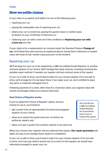#### <span id="page-25-0"></span>Claims

#### **How we settle claims**

If *your* claim is accepted, *we'll* settle it in one of the following ways:

- **•** repairing *your car*;
- **•** paying the reasonable cost of repairing *your car*;
- **•** where *your car* is a *total loss*, paying the *agreed value* or *market value*, as shown on *your Certificate of Insurance*; or
- **•** replacing *your car* with a new one if the conditions in **Replacing your car with a new one** are met.

If *your* claim is for a replacement car covered under the Standard Feature **Change of car**, *we'll* follow the same process as explained above, except that a reference to market value will mean its fair market value just prior to the incident.

#### Repairing your car

*We'll* arrange for *your car* to be repaired by a QBE Accredited Smash Repairer or another licensed repairer of *our* choice. *We'll* manage the repair process, including choosing the suitable repair method. If needed, *our* repairer will sub-contract some of the repairs.

If *your car* is safe to drive, *you'll* need to take it to *our* chosen repairer. If it's not safe to drive, *we'll* arrange for it to be taken there. If *we* repair *your car*, *we're* entitled to keep any parts or materials salvaged from it.

Following payment of a claim, other than for a *total loss* claim, *your* agreed value will remain unchanged unless *you* request otherwise.

#### **How Choice of Repairer works**

If *you've* added the Choice of Repairer option, and *you* choose to use it, *you'll* need to:

- **•** get a quote from an appropriately licensed and equipped repairer of *your* choice;
- **•** allow *us* to assess the quote and *your car* before *we* authorise repairs; and

*You* can still use a QBE Accredited Smash Repairer *we* recommend even if *you've* chosen this option.

**•** allow *us* to get a quote from another repairer if *we* need one.

When *you* choose *your* repairer and *we* authorise the repairs, **Our repair guarantee** will apply as long as *we* manage those repairs to completion.

If *your car* is safe to drive, *you'll* need to take it to *your* chosen repairer. If it's not safe to drive, *we'll* only pay what it would cost *us* to tow it to the repairer *we* would have otherwise arranged to repair *your car*.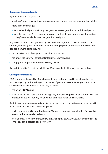#### **Replacing damaged parts**

If *your car* was first registered:

- **•** less than 3 years ago, *we'll* use genuine new parts when they are reasonably available.
- **•** more than 3 years ago:
	- for mechanical parts *we'll* only use genuine new or genuine reconditioned parts;
	- for other parts *we'll* use genuine new parts, unless they are not reasonably available. If they're not available, *we'll* use genuine used parts.

Regardless of *your car's* age, *we* may use quality non-genuine parts for windscreen, sunroof, window glass, radiator or air conditioning repairs or replacements. When *we* use non-genuine parts they will:

- **•** be consistent with the age and condition of *your car*;
- **•** not affect the safety or structural integrity of *your car*; and
- **•** comply with applicable Australian Design Rules.

If a certain part isn't readily available, *we'll* pay *you* the last known price of that part.

#### **Our repair guarantee**

*We'll* guarantee the quality of workmanship and materials used in repairs authorised and managed by *us*, for as long as the owner of *your car* does not change. If *you* have concerns about the repairs to *your car you* must:

- **•** call *us* on **133 723**; and
- **•** allow *us* to inspect *your car* and arrange any additional repairs that *we* agree with *you* are needed. *We* will not pay for any additional repairs *we* don't authorise.

If additional repairs are needed and it's not economical to carry them out, *your car* will be assessed as a *total loss*. If this happens:

- **•** while *your car* is still insured with *us*, *we'll* process *your* claim as set out in **Paying the agreed value or market value**; or
- **•** after *your car* is no longer insured with *us*, *we'll* pay its *market value*, calculated at the time *your car* is assessed as a *total loss*.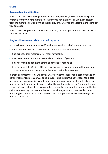#### <span id="page-27-0"></span>Claims

#### **Damaged car identification**

*We'll* do *our* best to obtain replacements of damaged build, VIN or compliance plates or labels, from *your car's* manufacturer. If they're not available, *we'll* request a letter from the manufacturer confirming the identity of *your car* and the fact that the identifier was damaged.

*We'll* otherwise repair *your car* without replacing the damaged identification, unless the law says *we* must.

#### Paying the reasonable cost of repairs

In the following circumstances, *we'll* pay the reasonable cost of repairing *your car*:

- **•** if *you* disagree with *our* assessment of required repairs or their cost;
- **•** if parts needed for repairs are not readily available;
- **•** if *we're* concerned about the pre-incident condition of *your car*;
- **•** if *we're* concerned about the timing or conduct of repairs; or
- **•** if *you've* added the Choice of Repairer option and *we* cannot agree with *you* or *your* chosen repairer, about the quote or the repair method for example.

In these circumstances, *we* will pay *your car's* owner the reasonable cost of repairs or parts. This may require *your car* to be moved. To help determine the reasonable cost of repairs, *we* may organise a quote and scope of repairs from an alternative licensed repairer *we* both agree on. Should a part not be readily available, *we'll* pay *you* the last known price of that part from a reputable commercial retailer at the time *we* settle the claim. When *we* pay the reasonable cost of repairing *your car* or reasonable cost of replacing parts for *your car*, *you'll* need to pay the applicable excess and arrange the repairs to *your car*.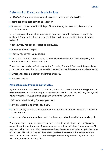## <span id="page-28-0"></span>Determining if your car is a total loss

An *MVIRI Code-approved assessor* will assess *your car* as a *total loss* if it is:

- **•** damaged and uneconomical to repair; or
- **•** stolen and not found within 14 days of its theft being reported to police, and *your* claim is in order.

In any assessment of whether *your car* is a *total loss*, *we* will also have regard to the applicable State or Territory laws or regulations as to when a vehicle is considered a write off.

When *your car* has been assessed as a *total loss*:

- **•** *we* are entitled to keep it;
- **•** *your policy* comes to an end; and
- **•** there is no premium refund as *you* have received the benefits under the policy and *we've* fulfilled *our* contract with *you*.

When the cover ends, *we'll* still pay for the following Standard Features if they apply to *your* cover, they are directly connected to the *total loss* and they continue to be relevant:

- **•** Emergency accommodation and transport costs;
- **•** Travel expenses.

#### **Paying the agreed value or market value**

If *your car* has been assessed as a *total loss*, and if the conditions in **Replacing your car with a new one** are not met, or *you* choose not to accept a new car, *we'll* pay the *agreed value* or *market value*, as shown on *your Certificate of Insurance*.

*We'll* deduct the following from our payment:

- **•** any excesses that apply to *your* claim;
- **•** any remaining premium instalments for the *period of insurance* in which the *incident* occurred; and
- **•** the value of *your* damaged car only if *we* have agreed with *you* that *you* can keep it.

When *your car* is a *total loss*, and no one else has a financial interest in it, *we'll* pay its owner the settlement amount. If someone else has a financial interest in *your car*, *we*'ll pay them what they're entitled to receive and pay the owner any balance up to the value of the claim. *We* will not pay any financier's late fees, interest or other administration fees. The owner will need to remove any registered security interest in *your car* after *we* settle *your* claim as a *total loss*.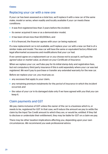#### <span id="page-29-0"></span>Claims

#### Replacing your car with a new one

If *your car* has been assessed as a *total loss*, *we'll* replace it with a new car of the same make, model or series, when readily and locally available if *your car* meets these conditions:

- **•** it was first registered less than 3 years before the *incident*;
- **•** its owner acquired it new or as a demonstrator model;
- **•** it has been driven less than 60,000km; and
- **•** if it is financed, the financier agrees with your car being replaced.

If a new replacement car is not available, *we'll* replace *your car* with a new car that is of a similar make and model. The new car will have the same or equivalent factory-fitted and legal aftermarket accessories and modifications that *your car* had.

If *we* cannot agree on a replacement car or *you* choose not to accept it, *we'll* pay the *agreed value* or *market value*, as shown on *your Certificate of Insurance*.

When *we* replace *your car*, *we'll* also pay for its initial stamp duty and registration fees, but not compulsory third party insurance if this is sold separately where *your car* was last registered. *We* won't pay to purchase or transfer any extended warranty for the new car.

Before *we* replace *your car*, *you* must pay *us*:

- **•** any excesses that apply to *your* claim;
- **•** any remaining premium instalments for the *period of insurance* in which the *incident* occurred; and
- **•** the value of *your car* in its damaged state only if *we* have agreed with *you* that *you* can keep it.

#### Claim payments and GST

*We* pay claims inclusive of GST unless the owner of the car is a business which is, or needs to be, registered for GST. In that case, *we'll* reduce the amount *we* pay to settle the claim by the Input Tax Credit amount to which they are, or would be, entitled. If they fail to disclose or understate their entitlement, they may be liable for GST on a claim *we* pay.

There may be other taxation implications affecting *you*, depending upon *your* own circumstances. *We* recommend *you* seek professional advice.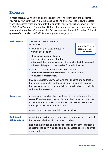#### <span id="page-30-0"></span>**Excesses**

In most cases, *you'll* need to contribute an amount towards the cost of any claims *you* make. *Your* contribution may be made up of one or more of the following excess types. The excess types and amounts that apply to *your policy* will be shown on *your Certificate of Insurance*. For additional information about excesses and how they apply to *your policy*, read *our* Comprehensive Car Insurance Additional Information Guide at **[qbe.com/au](http://qbe.com/au)** or call *us* on **133 723** for a copy at no charge by *us*.

| <b>Basic excess</b>                | The basic excess applies to all<br>claims unless:<br>'not-at-fault' has a<br>• your claim is for a not-at-fault<br>special meaning.<br>See Definitions.<br>vehicle accident: or<br>• the <i>incident you</i> are claiming<br>for is malicious damage, theft or<br>attempted theft and you can provide us with the full name and<br>address of the person responsible for the <i>incident</i> ; or<br>• your claim is only under the Standard Feature |
|------------------------------------|------------------------------------------------------------------------------------------------------------------------------------------------------------------------------------------------------------------------------------------------------------------------------------------------------------------------------------------------------------------------------------------------------------------------------------------------------|
|                                    | 'No excess' windscreen repair or the chosen option<br>'No Excess' Windscreen.                                                                                                                                                                                                                                                                                                                                                                        |
|                                    | If you are unable to provide us with the full name and address of<br>the person responsible for the <i>incident</i> , we are unable to waive<br>the excess. We need these details in order to be able to conduct a<br>settlement or recovery.                                                                                                                                                                                                        |
| <b>Age excess</b>                  | An age excess applies when the driver of your car is under the<br>age of 25 at the time of the <i>incident</i> and they cause or contribute<br>to that <i>incident</i> . It applies in addition to the basic excess and any<br>other applicable excess for the claim.<br>An age excess does not apply to a learner driver.                                                                                                                           |
| <b>Additional</b><br>policy excess | An additional policy excess may apply to your policy as a result of<br>the insurance history of your car or its driver.<br>It applies in addition to the basic excess and any other applicable<br>excess for the claim. An additional policy excess does not apply to<br>a learner driver.                                                                                                                                                           |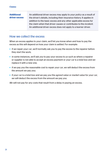#### **Additional driver excess**

An additional driver excess may apply to *your policy* as a result of the driver's details, including their insurance history. It applies in addition to the basic excess and any other applicable excess for the claim when that driver causes or contributes to the *incident*. An additional driver excess does not apply to a learner driver.

#### How we collect the excess

When an excess applies to *your* claim, *we'll* let *you* know when and how to pay the excess as this will depend on how *your* claim is settled. For example:

- **•** if *we* repair *your car*, *we'll* normally ask *you* to pay the excess to the repairer before they start the work;
- **•** in some instances, *we'll* ask *you* to pay your excess to *us* such as where a repairer or supplier is not able to accept an excess payment or *your car* is a *total loss* and *we* replace it with a new one;
- **•** if *we* pay *you* the reasonable cost to repair *your car*, *we* will deduct the excess from the amount *we* pay *you*;
- **•** if *your car* is a *total loss* and *we* pay *you* the *agreed value* or *market value* for *your car*, *we* will deduct the excess from the amount *we* pay *you*.

*We* will not pay for any costs that result from a delay in paying an excess.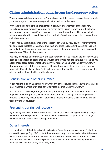# <span id="page-32-0"></span>**Claims administration, going to court and recovery action**

When *we* pay a claim under *your policy*, *we* have the right to exercise *your* legal rights in *your* name against the person responsible for the loss or damage.

*We'll* take full control of the administration, conduct or settlement of the recovery, including any legal defence. When *we* do any of these things in *your* name, it will be at *our* expense, however *you'll* need to give *us* reasonable assistance. This may include following *our* directions in relation to the conduct of any legal proceedings even after a claim has been paid.

When *we* pay a claim and some of the loss isn't covered by *your policy*, *we* may offer to try to recover that loss for *you* when *we* take any steps to recover the covered loss. *We* can only do so if *you* agree to give *us* documents that support *your* loss and agree with *us* on how *we'll* handle that recovery.

*You* may also need to contribute to the associated costs if, to recover the loss for *you*, *we* need to take additional steps that *we* wouldn't otherwise need to take. *We* will talk to *you* about these steps before *we* take them. If *you've* received a benefit under *your policy* that *you* were not entitled to, *we* reserve the right to recover from *you* the amount *we* have paid. If *we* decline a claim for fraud, *we* reserve the right to recover *our* reasonable administration, investigation and legal costs.

#### Contribution and other insurance

When making a claim, *you* must notify *us* of any other insurance that *you're* aware will or may, whether in whole or in part, cover any loss insured under *your policy*.

If at the time of any loss, damage or liability there's any other insurance (whether issued to *you* or any other person) which covers the same loss, damage or liability *you* must provide *us* with any reasonable assistance *we* require to make a claim for contribution from any other insurer(s).

## Preventing our right of recovery

If *you've* agreed with or told someone who caused *you* loss, damage or liability that *you* won't hold them responsible, then, to the extent we've been prejudiced by this act, *we* won't cover *you* for that loss, damage or liability.

## Other interests

*You* must tell *us* of the interest of all parties (e.g. financiers, lessors or owners) who'll be covered by *your policy*. *We'll* protect their interests only if *you've* told *us* about them and *we've* noted them on *your Certificate of Insurance*. Any person whose interests *you've* told *us* about and *we've* noted on *your Certificate of Insurance* is bound by the terms of *your policy* in relation to any claim they make.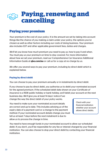# <span id="page-33-0"></span>**Paying, renewing and cancelling**

# **Paying your premium**

*Your* premium is the cost of *your policy*. It is the amount *we* set by taking into account things like the chance of *you* making a claim under *your policy*, the options *you've* chosen as well as other factors including *our* costs of doing business. *Your* premium also includes GST and other applicable government fees, duties and charges.

*We'll* let *you* know how much premium *you* need to pay *us*, how to pay it and when. *You* must pay *us your* premium on time to stay covered. For more information about how *we* set *your* premium, read *our* Comprehensive Car Insurance Additional Information Guide at **[qbe.com/au](http://qbe.com/au)** or call *us* for a copy at no charge by *us*.

*We* offer *you* several ways to pay *your* premium, including by direct debit which is explained below.

#### **Paying by direct debit**

*You* can choose to pay *your* premium annually or in instalments by direct debit.

If *you* choose to pay by direct debit, *you* authorise *us* to debit *your* nominated account for the agreed premium. If the scheduled debit date shown on *your Certificate of Insurance* is a NSW public holiday or bank holiday, *we'll* debit *your* account on the next business day. *We'll* give *you* at least 14 days' notice if *we*

change the way the direct debit of *your policy* works.

*You* need to make sure *your* nominated account details are correct and up to date. This includes advising *us* of the expiry date of a payment card or a change to the payment method. If *your* nominated account details change *you* must tell *us* at least 7 days before the next instalment is due to allow *us* to process the change in time.

Check with *your* financial institution whether *your* account allows direct debits.

*You* need to have enough funds in *your* nominated account to allow *our* scheduled debit. If *you* don't, *you'll* be responsible for any fee or interest charged by *your* financial institution. *You* can also choose to stop *your* direct debit by contacting *your* financial institution.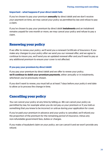#### <span id="page-34-0"></span>**Important – what happens if your direct debit fails**

If *you've* chosen to pay *your* premium **annually** by direct debit and *we* don't receive *your* payment on time, *we* may cancel *your policy* as permitted by law and refuse to pay a claim.

If *you've* chosen to pay *your* premium by direct debit **instalments** and an instalment remains unpaid for one month or more, *we* may cancel *your policy* and refuse to pay a claim.

# **Renewing your policy**

If *we* offer to renew *your policy*, *we'll* send *you* a renewal *Certificate of Insurance*. If *you* make any changes to *your policy* after *we* send *you our* renewal offer, and *we* agree to continue to insure *you*, *we'll* send *you* an updated renewal offer and *you'll* need to pay *us* any additional premium to ensure *your* cover is not affected.

#### **If you pay your premium by direct debit**

If *you* pay *your* premium by direct debit and *we* offer to renew *your policy*, **we'll continue to debit your premium payments**, either annually or in instalments, whichever *you've* previously chosen.

If *you* don't want to renew, *you* must tell *us* at least 7 days before *your policy's* end date to allow *us* to process the change in time.

## **Cancelling your policy**

*You* can cancel *your policy* at any time by telling *us*. *We* can cancel *your policy* as permitted by law, for example when *you* do not pay *us your* premium or if *you* told *us* something that *you* knew to be incorrect or untrue during *your* application for cover.

If *you've* paid *your* premium in advance and *your policy* is cancelled, *we'll* refund *you* the proportion of the premium for the remaining *period of insurance*, minus any non-refundable government fees, duties or charges.

If *you* make a fraudulent claim on *your policy*, *we* can cancel it and *we* won't provide any refund.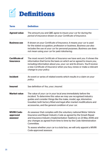<span id="page-35-0"></span>

| Term                                       | <b>Definition</b>                                                                                                                                                                                                                                                                                                                         |
|--------------------------------------------|-------------------------------------------------------------------------------------------------------------------------------------------------------------------------------------------------------------------------------------------------------------------------------------------------------------------------------------------|
| <b>Agreed value</b>                        | The amount you and QBE agree to insure your car for during the<br>period of insurance shown on your Certificate of Insurance.                                                                                                                                                                                                             |
| <b>Business use</b>                        | If shown on your Certificate of Insurance, it means your car is used<br>for the stated occupation, profession or business. Business use also<br>includes the use of your car for personal purposes. Business use does<br>not mean using your car for paid ridesharing.                                                                    |
| <b>Certificate of</b><br><b>Insurance</b>  | The most recent Certificate of Insurance we have sent you. It shows the<br>information that forms the basis on which we've agreed to insure you,<br>including information about you, your car and its drivers. You'll receive<br>a new Certificate of Insurance when you buy, renew or make a relevant<br>change to your policy.          |
| <b>Incident</b>                            | An event or series of related events which results in a claim on your<br>policy.                                                                                                                                                                                                                                                          |
| <b>Insured</b>                             | See definition of You, your, insured.                                                                                                                                                                                                                                                                                                     |
| <b>Market value</b>                        | The value of your car in your local area immediately before the<br>incident. To determine this value we may use recognised industry<br>guides and consider things like the make, model, age, kilometres<br>travelled, both factory-fitted and legal after-market modifications and<br>accessories, and the general condition of your car. |
| <b>MVIRI Code-</b><br>approved<br>assessor | An assessor that complies with the voluntary national Motor Vehicle<br>Insurance and Repair Industry Code as agreed by the Smash Repair<br>and Insurance Industry Implementation Taskforce on 23 May 2006 and<br>any changes as agreed from time to time by the Code Administration<br>Committee.                                         |
|                                            | To assess whether your car is a total loss, we will only appoint a MVIRI<br>Code-approved assessor.                                                                                                                                                                                                                                       |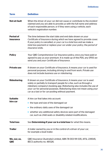| Term                          | <b>Definition</b>                                                                                                                                                                                                                                                                                                                                  |
|-------------------------------|----------------------------------------------------------------------------------------------------------------------------------------------------------------------------------------------------------------------------------------------------------------------------------------------------------------------------------------------------|
| Not-at-fault                  | When the driver of your car did not cause or contribute to the incident<br>claimed and you are able to provide us with the full name and address<br>of each responsible person, or if they were using a vehicle, each<br>vehicle's registration number.                                                                                            |
| <b>Period of</b><br>insurance | The time between the start date and end date shown on your<br>Certificate of Insurance during which we have agreed to provide cover.<br>If your policy is cancelled, or your car is a total loss and we make a<br>total loss payment or replace your car under your policy, the period of<br><i>insurance</i> ends.                                |
| <b>Policy</b>                 | Your QBE Comprehensive Car Insurance policy, once you have paid or<br>agreed to pay us your premium. It is made up of this PDS, any SPDS we<br>send you and your Certificate of Insurance.                                                                                                                                                         |
| <b>Private use</b>            | If shown on <i>your Certificate of Insurance</i> , it means <i>your car</i> is used for<br>personal purposes, including driving to and from work. Private use<br>does not include business use or ridesharing.                                                                                                                                     |
| <b>Ridesharing</b>            | If shown on your Certificate of Insurance, it means your car is used<br>solely or partially to transport people for a fee, such as through a<br>rideshare company's booking app. Ridesharing also includes the use of<br>your car for personal purposes. Ridesharing does not mean using your<br>car as a taxi or for car-pooling without payment. |
| <b>Suitable</b><br>hire car   | A hire car that takes into account:                                                                                                                                                                                                                                                                                                                |
|                               | $\bullet$ the type and size of the damaged car                                                                                                                                                                                                                                                                                                     |
|                               | • the ordinary daily uses of the damaged car                                                                                                                                                                                                                                                                                                       |
|                               | • whether any additional safety devices were part of the damaged<br>car, such as child seats or disability-related modifications.                                                                                                                                                                                                                  |
| <b>Total loss</b>             | See Determining if your car is a total loss for what this means.                                                                                                                                                                                                                                                                                   |
| <b>Trailer</b>                | A trailer owned by you or in the control of a driver of your car,<br>for example a boat trailer.                                                                                                                                                                                                                                                   |
| We, our, us,<br><b>QBE</b>    | QBE Insurance (Australia) Limited, ABN 78 003 191 035, AFSL 239545,<br>BECS authority no. 481326.                                                                                                                                                                                                                                                  |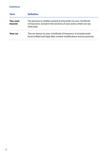#### Definitions

| Term                  | <b>Definition</b>                                                                                                                                        |  |
|-----------------------|----------------------------------------------------------------------------------------------------------------------------------------------------------|--|
| You, your,<br>insured | The persons or entities named as <i>Insured(s)</i> on your Certificate<br>of Insurance, except in the sections of your policy where we say<br>otherwise. |  |
| Your car              | The car shown on your Certificate of Insurance. It includes both<br>factory-fitted and legal after-market modifications and accessories.                 |  |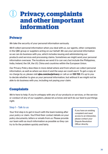# <span id="page-38-0"></span> $\overline{0}$ **Privacy, complaints and other important information**

# **Privacy**

*We* take the security of *your* personal information seriously.

*We'll* collect personal information when *you* deal with *us*, *our* agents, other companies in the QBE group or suppliers acting on *our* behalf. *We* use *your* personal information so *we* can do business with *you*, which includes issuing and administering *our* products and services and processing claims. Sometimes *we* might send *your* personal information overseas. The locations *we* send it to can vary but include the Philippines, India, Ireland, the UK, the US, China and countries within the European Union.

*Our* Privacy Policy describes in more detail where and from whom *we* collect personal information, as well as where *we* store it and the ways *we* could use it. To get a copy at no charge by *us*, please visit **[qbe.com/au/privacy](http://qbe.com/au/privacy)** or call *us* on **133 723**. It's up to *you* to decide whether to give *us your* personal information, but without it *we* might not be able to do business with *you*, including not paying *your* claim.

# **Complaints**

*We're* here to help. If *you're* unhappy with any of *our* products or services, or the service or conduct of any of our suppliers, please let *us* know and we'll do *our* best to put things right.

#### Step 1 – Talk to us

*Your* first step is to get in touch with the team looking after *your policy* or claim. *You'll* find their contact details on *your* policy documents, letters or emails from *us*. Please provide *our* team with as much information as possible so they can try to fix the problem quickly and fairly.

If *you* have an existing complaint and need access to an interpreter, please contact *your* Dispute Resolution Officer directly.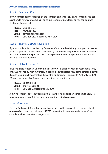#### Privacy, complaints and other important information

#### Step 2 – Customer Care

If *your* complaint isn't resolved by the team looking after *your policy* or claim, *you* can ask them to refer *your* complaint on to *our* Customer Care team or you can contact Customer Care directly:

**Phone:** 1300 650 503 **Fax:** (02) 8227 8594 **Email:** complaints@qbe.com **Post:** GPO Box 219, Parramatta NSW 2124

#### Step 3 – Internal Dispute Resolution

If *your* complaint isn't resolved by Customer Care, or indeed at any time, *you* can ask for *your* complaint to be escalated for review by *our* Internal Dispute Resolution (IDR) team. A Dispute Resolution Specialist will review *your* complaint independently and provide *you* with *our* final decision.

#### Step 4 – Still not resolved?

If *we're* unable to resolve *your* complaint to *your* satisfaction within a reasonable time, or *you're* not happy with *our* final IDR decision, *you* can refer *your* complaint for external dispute resolution by contacting the Australian Financial Complaints Authority (AFCA). *We* are a member of AFCA and their decisions are binding on *us*.

**Phone:** 1800 931 678 **Email:** info@afca.org.au **Post:** GPO Box 3, Melbourne VIC 3001

AFCA will inform *you* if *your* complaint falls within its jurisdiction. Time limits apply to most complaints to AFCA. For more information, visit **[afca.org.au](http://afca.org.au)**

#### More information

*You* can find more information about how *we* deal with complaints on *our* website at **[qbe.com/au](http://qbe.com/au)** or *you* can call *us* on **133 723** to speak with *us* or request a copy of *our* complaints brochure at no charge by *us*.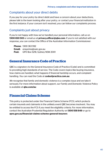## <span id="page-40-0"></span>Complaints about your direct debits

If *you* pay for *your policy* by direct debit and have a concern about *your* deductions, please talk to the team looking after *your policy*, or contact *your* financial institution in the first instance. If *your* concern isn't resolved, *you* can follow *our* complaints process.

## Complaints just about privacy

If *you're* not happy with how *we've* handled *your* personal information, call *us* on **1300 650 503** or email *us* at **privacy.officer@qbe.com**. If *you're* not satisfied with *our* response, *you* can contact the Office of the Australian Information Commissioner:

**Phone:** 1300 363 992 **Email:** enquiries@oaic.gov.au **Post:** GPO Box 5218, Sydney NSW 2001

## **General Insurance Code of Practice**

QBE is a signatory to the General Insurance Code of Practice (Code) and is committed to providing high standards of service. The Code covers topics like buying insurance, how claims are handled, what happens if financial hardship occurs, and complaint handling. *You* can read the Code at **[codeofpractice.com.au](http://codeofpractice.com.au)**

*We* recognise that family and domestic violence is a complex issue and *we* take it seriously. For more information about support, *our* Family and Domestic Violence Policy is available at **[qbe.com/au](https://www.qbe.com/au/about/governance/family-and-domestic-violence-customer)**

# **Financial Claims Scheme**

This policy is protected under the Financial Claims Scheme (FCS), which protects certain insureds and claimants in the unlikely event QBE becomes insolvent. *You* may be entitled to access the FCS if *you* meet the eligibility criteria. For more information, contact the Australian Prudential Regulation Authority on **1300 558 849** or go to **[apra.gov.au/financial-claims-scheme-general-insurers](http://apra.gov.au/financial-claims-scheme-general-insurers)**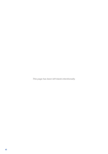*This page has been left blank intentionally.*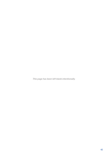*This page has been left blank intentionally.*